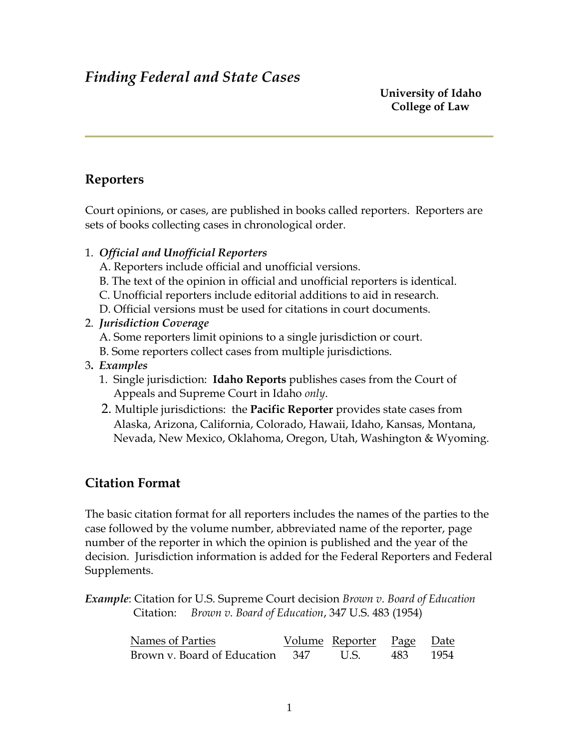# *Finding Federal and State Cases*

 **University of Idaho College of Law**

# **Reporters**

Court opinions, or cases, are published in books called reporters. Reporters are sets of books collecting cases in chronological order.

- 1. *Official and Unofficial Reporters*
	- A. Reporters include official and unofficial versions.
	- B. The text of the opinion in official and unofficial reporters is identical.
	- C. Unofficial reporters include editorial additions to aid in research.
	- D. Official versions must be used for citations in court documents.

#### 2. *Jurisdiction Coverage*

- A. Some reporters limit opinions to a single jurisdiction or court.
- B. Some reporters collect cases from multiple jurisdictions.
- 3**.** *Examples*
	- 1. Single jurisdiction: **Idaho Reports** publishes cases from the Court of Appeals and Supreme Court in Idaho *only*.
	- 2. Multiple jurisdictions: the **Pacific Reporter** provides state cases from Alaska, Arizona, California, Colorado, Hawaii, Idaho, Kansas, Montana, Nevada, New Mexico, Oklahoma, Oregon, Utah, Washington & Wyoming.

# **Citation Format**

The basic citation format for all reporters includes the names of the parties to the case followed by the volume number, abbreviated name of the reporter, page number of the reporter in which the opinion is published and the year of the decision. Jurisdiction information is added for the Federal Reporters and Federal Supplements.

*Example*: Citation for U.S. Supreme Court decision *Brown v. Board of Education*  Citation: *Brown v. Board of Education*, 347 U.S. 483 (1954)

| Names of Parties                | Volume Reporter Page Date |      |      |
|---------------------------------|---------------------------|------|------|
| Brown v. Board of Education 347 | U.S.                      | 483. | 1954 |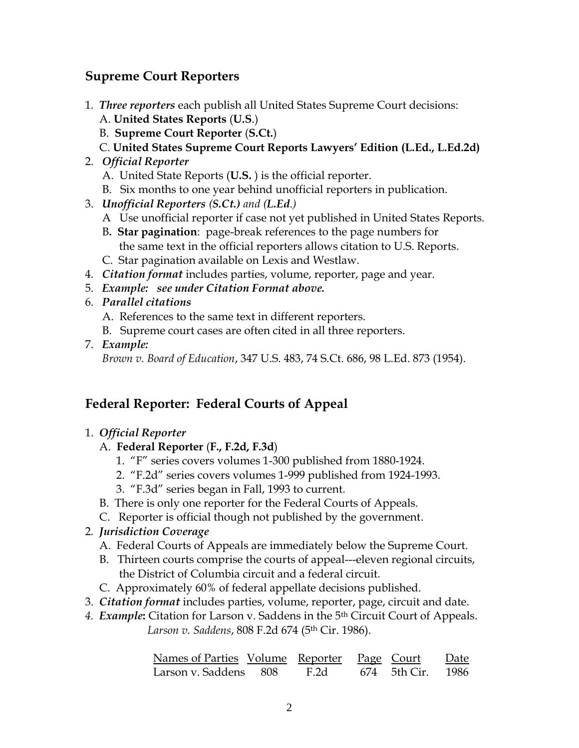# **Supreme Court Reporters**

- 1. *Three reporters* each publish all United States Supreme Court decisions:
	- A. **United States Reports** (**U.S**.)
	- B. **Supreme Court Reporter** (**S.Ct.**)
	- C. **United States Supreme Court Reports Lawyers' Edition (L.Ed., L.Ed.2d)**
- 2. *Official Reporter*
	- A. United State Reports (**U.S.** ) is the official reporter.
	- B. Six months to one year behind unofficial reporters in publication.
- 3. *Unofficial Reporters (S.Ct.) and (L.Ed.)*
	- A Use unofficial reporter if case not yet published in United States Reports.
	- B**. Star pagination**: page-break references to the page numbers for the same text in the official reporters allows citation to U.S. Reports.
	- C. Star pagination available on Lexis and Westlaw.
- 4. *Citation format* includes parties, volume, reporter, page and year.
- 5. *Example: see under Citation Format above.*
- 6. *Parallel citations*
	- A. References to the same text in different reporters.
	- B. Supreme court cases are often cited in all three reporters.
- 7. *Example:*

 *Brown v. Board of Education*, 347 U.S. 483, 74 S.Ct. 686, 98 L.Ed. 873 (1954).

# **Federal Reporter: Federal Courts of Appeal**

## 1. *Official Reporter*

## A. **Federal Reporter** (**F., F.2d, F.3d**)

- 1. "F" series covers volumes 1-300 published from 1880-1924.
- 2. "F.2d" series covers volumes 1-999 published from 1924-1993.
- 3. "F.3d" series began in Fall, 1993 to current.
- B. There is only one reporter for the Federal Courts of Appeals.
- C. Reporter is official though not published by the government.
- 2*. Jurisdiction Coverage*
	- A. Federal Courts of Appeals are immediately below the Supreme Court.
	- B. Thirteen courts comprise the courts of appeal---eleven regional circuits, the District of Columbia circuit and a federal circuit.
	- C. Approximately 60% of federal appellate decisions published.
- 3. *Citation format* includes parties, volume, reporter, page, circuit and date.
- *4. Example***:** Citation for Larson v. Saddens in the 5th Circuit Court of Appeals. *Larson v. Saddens*, 808 F.2d 674 (5th Cir. 1986).

| Names of Parties Volume Reporter Page Court  |  |  | Date |
|----------------------------------------------|--|--|------|
| Larson v. Saddens 808 F.2d 674 5th Cir. 1986 |  |  |      |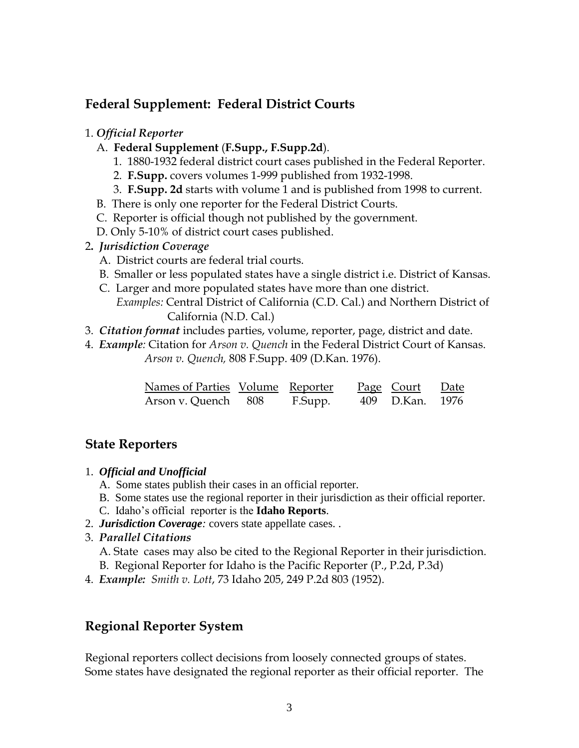# **Federal Supplement: Federal District Courts**

#### 1. *Official Reporter*

- A. **Federal Supplement** (**F.Supp., F.Supp.2d**).
	- 1. 1880-1932 federal district court cases published in the Federal Reporter.
	- 2. **F.Supp.** covers volumes 1-999 published from 1932-1998.
	- 3. **F.Supp. 2d** starts with volume 1 and is published from 1998 to current.
- B. There is only one reporter for the Federal District Courts.
- C. Reporter is official though not published by the government.
- D. Only 5-10% of district court cases published.
- 2**.** *Jurisdiction Coverage*
	- A. District courts are federal trial courts.
	- B. Smaller or less populated states have a single district i.e. District of Kansas.
	- C. Larger and more populated states have more than one district. *Examples:* Central District of California (C.D. Cal.) and Northern District of California (N.D. Cal.)
- 3. *Citation format* includes parties, volume, reporter, page, district and date.
- 4. *Example:* Citation for *Arson v. Quench* in the Federal District Court of Kansas.  *Arson v. Quench,* 808 F.Supp. 409 (D.Kan. 1976).

| Names of Parties Volume Reporter |         | <u>Page Court Date</u> |  |
|----------------------------------|---------|------------------------|--|
| Arson v. Quench 808              | F.Supp. | 409 D.Kan. 1976        |  |

# **State Reporters**

- 1. *Official and Unofficial*
	- A. Some states publish their cases in an official reporter.
	- B. Some states use the regional reporter in their jurisdiction as their official reporter.
	- C. Idaho's official reporter is the **Idaho Reports**.
- 2. *Jurisdiction Coverage:* covers state appellate cases. .
- 3. *Parallel Citations*
	- A. State cases may also be cited to the Regional Reporter in their jurisdiction.
	- B. Regional Reporter for Idaho is the Pacific Reporter (P., P.2d, P.3d)
- 4. *Example: Smith v. Lott*, 73 Idaho 205, 249 P.2d 803 (1952).

# **Regional Reporter System**

Regional reporters collect decisions from loosely connected groups of states. Some states have designated the regional reporter as their official reporter. The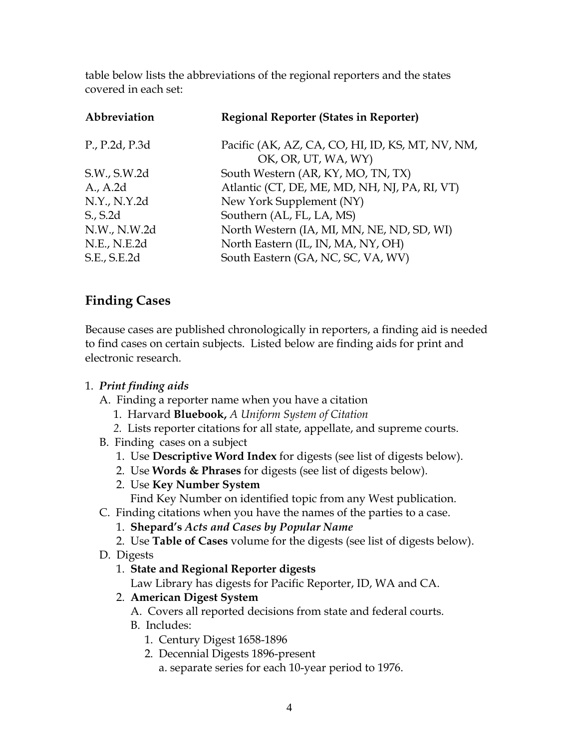table below lists the abbreviations of the regional reporters and the states covered in each set:

| <b>Regional Reporter (States in Reporter)</b>                           |
|-------------------------------------------------------------------------|
| Pacific (AK, AZ, CA, CO, HI, ID, KS, MT, NV, NM,<br>OK, OR, UT, WA, WY) |
| South Western (AR, KY, MO, TN, TX)                                      |
| Atlantic (CT, DE, ME, MD, NH, NJ, PA, RI, VT)                           |
| New York Supplement (NY)                                                |
| Southern (AL, FL, LA, MS)                                               |
| North Western (IA, MI, MN, NE, ND, SD, WI)                              |
| North Eastern (IL, IN, MA, NY, OH)                                      |
| South Eastern (GA, NC, SC, VA, WV)                                      |
|                                                                         |

# **Finding Cases**

Because cases are published chronologically in reporters, a finding aid is needed to find cases on certain subjects. Listed below are finding aids for print and electronic research.

## 1. *Print finding aids*

- A. Finding a reporter name when you have a citation
	- 1. Harvard **Bluebook,** *A Uniform System of Citation*
	- *2.* Lists reporter citations for all state, appellate, and supreme courts.
- B. Finding cases on a subject
	- 1. Use **Descriptive Word Index** for digests (see list of digests below).
	- 2. Use **Words & Phrases** for digests (see list of digests below).
	- 2. Use **Key Number System**

Find Key Number on identified topic from any West publication.

- C. Finding citations when you have the names of the parties to a case.
	- 1. **Shepard's** *Acts and Cases by Popular Name*
	- 2. Use **Table of Cases** volume for the digests (see list of digests below).
- D. Digests
	- 1. **State and Regional Reporter digests**

Law Library has digests for Pacific Reporter, ID, WA and CA.

2. **American Digest System**

A. Covers all reported decisions from state and federal courts.

- B. Includes:
	- 1. Century Digest 1658-1896
	- 2. Decennial Digests 1896-present

a. separate series for each 10-year period to 1976.